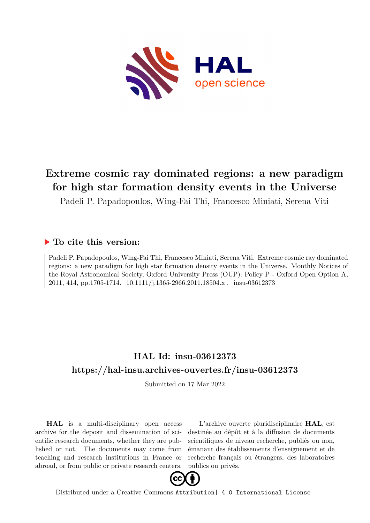

# **Extreme cosmic ray dominated regions: a new paradigm for high star formation density events in the Universe**

Padeli P. Papadopoulos, Wing-Fai Thi, Francesco Miniati, Serena Viti

## **To cite this version:**

Padeli P. Papadopoulos, Wing-Fai Thi, Francesco Miniati, Serena Viti. Extreme cosmic ray dominated regions: a new paradigm for high star formation density events in the Universe. Monthly Notices of the Royal Astronomical Society, Oxford University Press (OUP): Policy P - Oxford Open Option A, 2011, 414, pp.1705-1714. 10.1111/j.1365-2966.2011.18504.x. insu-03612373

# **HAL Id: insu-03612373 <https://hal-insu.archives-ouvertes.fr/insu-03612373>**

Submitted on 17 Mar 2022

**HAL** is a multi-disciplinary open access archive for the deposit and dissemination of scientific research documents, whether they are published or not. The documents may come from teaching and research institutions in France or abroad, or from public or private research centers.

L'archive ouverte pluridisciplinaire **HAL**, est destinée au dépôt et à la diffusion de documents scientifiques de niveau recherche, publiés ou non, émanant des établissements d'enseignement et de recherche français ou étrangers, des laboratoires publics ou privés.



Distributed under a Creative Commons [Attribution| 4.0 International License](http://creativecommons.org/licenses/by/4.0/)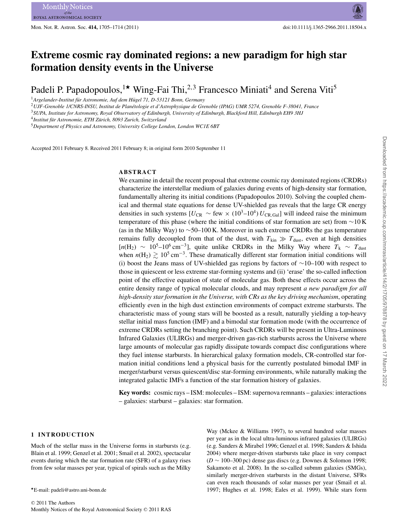# **Extreme cosmic ray dominated regions: a new paradigm for high star formation density events in the Universe**

Padeli P. Papadopoulos,<sup>1\*</sup> Wing-Fai Thi,<sup>2,3</sup> Francesco Miniati<sup>4</sup> and Serena Viti<sup>5</sup>

<sup>1</sup> Argelander-Institut für Astronomie, Auf dem Hügel 71, D-53121 Bonn, Germany

<sup>2</sup>*UJF-Grenoble 1/CNRS-INSU, Institut de Planetologie et d'Astrophysique de Grenoble (IPAG) UMR 5274, Grenoble F-38041, France ´*

<sup>3</sup>*SUPA, Institute for Astronomy, Royal Observatory of Edinburgh, University of Edinburgh, Blackford Hill, Edinburgh EH9 3HJ*

<sup>4</sup>Institut für Astronomie, ETH Zürich, 8093 Zurich, Switzerland

<sup>5</sup>*Department of Physics and Astronomy, University College London, London WC1E 6BT*

Accepted 2011 February 8. Received 2011 February 8; in original form 2010 September 11

### **ABSTRACT**

We examine in detail the recent proposal that extreme cosmic ray dominated regions (CRDRs) characterize the interstellar medium of galaxies during events of high-density star formation, fundamentally altering its initial conditions (Papadopoulos 2010). Solving the coupled chemical and thermal state equations for dense UV-shielded gas reveals that the large CR energy densities in such systems  $[U_{CR} \sim$  few  $\times$   $(10^3-10^4) U_{CR, Gal}]$  will indeed raise the minimum temperature of this phase (where the initial conditions of star formation are set) from ∼10 K (as in the Milky Way) to ∼50–100 K. Moreover in such extreme CRDRs the gas temperature remains fully decoupled from that of the dust, with  $T_{kin} \gg T_{dust}$ , even at high densities  $[n(H_2) \sim 10^5 - 10^6 \text{ cm}^{-3}]$ , quite unlike CRDRs in the Milky Way where  $T_k \sim T_{\text{dust}}$ when  $n(H_2) \gtrsim 10^5 \text{ cm}^{-3}$ . These dramatically different star formation initial conditions will (i) boost the Jeans mass of UV-shielded gas regions by factors of ∼10–100 with respect to those in quiescent or less extreme star-forming systems and (ii) 'erase' the so-called inflection point of the effective equation of state of molecular gas. Both these effects occur across the entire density range of typical molecular clouds, and may represent *a new paradigm for all high-density star formation in the Universe, with CRs as the key driving mechanism*, operating efficiently even in the high dust extinction environments of compact extreme starbursts. The characteristic mass of young stars will be boosted as a result, naturally yielding a top-heavy stellar initial mass function (IMF) and a bimodal star formation mode (with the occurrence of extreme CRDRs setting the branching point). Such CRDRs will be present in Ultra-Luminous Infrared Galaxies (ULIRGs) and merger-driven gas-rich starbursts across the Universe where large amounts of molecular gas rapidly dissipate towards compact disc configurations where they fuel intense starbursts. In hierarchical galaxy formation models, CR-controlled star formation initial conditions lend a physical basis for the currently postulated bimodal IMF in merger/starburst versus quiescent/disc star-forming environments, while naturally making the integrated galactic IMFs a function of the star formation history of galaxies.

**Key words:** cosmic rays – ISM: molecules – ISM: supernova remnants – galaxies: interactions – galaxies: starburst – galaxies: star formation.

#### **1 INTRODUCTION**

Much of the stellar mass in the Universe forms in starbursts (e.g. Blain et al. 1999; Genzel et al. 2001; Smail et al. 2002), spectacular events during which the star formation rate (SFR) of a galaxy rises from few solar masses per year, typical of spirals such as the Milky Way (Mckee & Williams 1997), to several hundred solar masses per year as in the local ultra-luminous infrared galaxies (ULIRGs) (e.g. Sanders & Mirabel 1996; Genzel et al. 1998; Sanders & Ishida 2004) where merger-driven starbursts take place in very compact (*D* ∼ 100–300 pc) dense gas discs (e.g. Downes & Solomon 1998; Sakamoto et al. 2008). In the so-called submm galaxies (SMGs), similarly merger-driven starbursts in the distant Universe, SFRs can even reach thousands of solar masses per year (Smail et al. 1997; Hughes et al. 1998; Eales et al. 1999). While stars form

<sup>-</sup>E-mail: padeli@astro.uni-bonn.de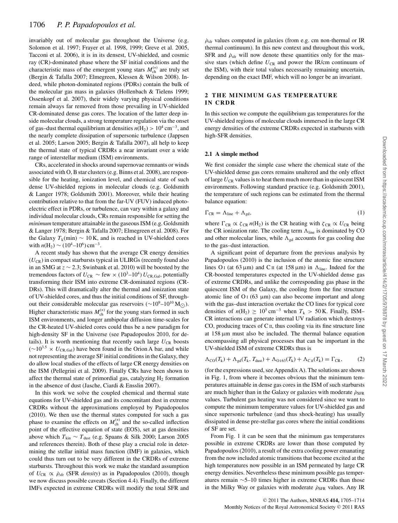invariably out of molecular gas throughout the Universe (e.g. Solomon et al. 1997; Frayer et al. 1998, 1999; Greve et al. 2005, Tacconi et al. 2006), it is in its densest, UV-shielded, and cosmic ray (CR)-dominated phase where the SF initial conditions and the characteristic mass of the emergent young stars  $M_{ch}^{(*)}$  are truly set (Bergin & Tafalla 2007: Elmegreen, Klessen & Wilson 2008), In-(Bergin & Tafalla 2007; Elmegreen, Klessen & Wilson 2008). Indeed, while photon-dominated regions (PDRs) contain the bulk of the molecular gas mass in galaxies (Hollenbach & Tielens 1999; Ossenkopf et al. 2007), their widely varying physical conditions remain always far removed from those prevailing in UV-shielded CR-dominated dense gas cores. The location of the latter deep inside molecular clouds, a strong temperature regulation via the onset of gas–dust thermal equilibrium at densities  $n(H_2) > 10^4$  cm<sup>-3</sup>, and the nearly complete dissipation of supersonic turbulence (Jappsen et al. 2005; Larson 2005; Bergin & Tafalla 2007), all help to keep the thermal state of typical CRDRs a near invariant over a wide range of interstellar medium (ISM) environments.

CRs, accelerated in shocks around supernovae remnants or winds associated with O, B star clusters (e.g. Binns et al. 2008), are responsible for the heating, ionization level, and chemical state of such dense UV-shielded regions in molecular clouds (e.g. Goldsmith & Langer 1978; Goldsmith 2001). Moreover, while their heating contribution relative to that from the far-UV (FUV) induced photoelectric effect in PDRs, or turbulence, can vary within a galaxy and individual molecular clouds, CRs remain responsible for setting the *minimum* temperature attainable in the gaseous ISM (e.g. Goldsmith & Langer 1978; Bergin & Tafalla 2007; Elmegreen et al. 2008). For the Galaxy  $T_k(\text{min}) \sim 10 \text{ K}$ , and is reached in UV-shielded cores with  $n(H_2) \sim (10^4 - 10^6)$  cm<sup>-3</sup>.

A recent study has shown that the average CR energy densities  $(U_{CR})$  in compact starbursts typical in ULIRGs (recently found also in an SMG at *z* ∼ 2.3; Swinbank et al. 2010) will be boosted by the tremendous factors of  $U_{CR} \sim$  few  $\times$  (10<sup>3</sup>–10<sup>4</sup>)  $U_{CR, Gal}$ , potentially transforming their ISM into extreme CR-dominated regions (CR-DRs). This will dramatically alter the thermal and ionization state of UV-shielded cores, and thus the initial conditions of SF, throughout their considerable molecular gas reservoirs ( $\sim$ 10<sup>9</sup>–10<sup>10</sup> M<sub>O</sub>). Higher characteristic mass  $M_{ch}^{(*)}$  for the young stars formed in such ISM environments, and longer ambinolar diffusion time-scales for ISM environments, and longer ambipolar diffusion time-scales for the CR-heated UV-shieled cores could thus be a new paradigm for high-density SF in the Universe (see Papadopoulos 2010, for details). It is worth mentioning that recently such large  $U_{CR}$  boosts  $(∼10^{3.5} × U_{CR,Gal})$  have been found in the Orion A bar, and while not representing the average SF initial conditions in the Galaxy, they do allow local studies of the effects of large CR energy densities on the ISM (Pellegrini et al. 2009). Finally CRs have been shown to affect the thermal state of primordial gas, catalyzing  $H_2$  formation in the absence of dust (Jasche, Ciardi & Ensslin 2007).

In this work we solve the coupled chemical and thermal state equations for UV-shielded gas and its concomitant dust in extreme CRDRs without the approximations employed by Papadopoulos (2010). We then use the thermal states computed for such a gas phase to examine the effects on  $M_{ch}^{(*)}$  and the so-called inflection<br>point of the effective equation of state (EOS) set at gas densities point of the effective equation of state (EOS), set at gas densities above which  $T_{kin}$  ∼  $T_{dust}$  (e.g. Spaans & Silk 2000; Larson 2005 and references therein). Both of these play a crucial role in determining the stellar initial mass function (IMF) in galaxies, which could thus turn out to be very different in the CRDRs of extreme starbursts. Throughout this work we make the standard assumption of  $U_{CR} \propto \dot{\rho}_{sfr}$  (SFR *density*) as in Papadopoulos (2010), though we now discuss possible caveats (Section 4.4). Finally, the different IMFs expected in extreme CRDRs will modify the total SFR and

### **2 THE MINIMUM GAS TEMPERATURE IN CRDR**

In this section we compute the equilibrium gas temperatures for the UV-shielded regions of molecular clouds immersed in the large CR energy densities of the extreme CRDRs expected in starbursts with high-SFR densities.

#### **2.1 A simple method**

We first consider the simple case where the chemical state of the UV-shielded dense gas cores remains unaltered and the only effect of large  $U_{CR}$  values is to heat them much more than in quiescent ISM environments. Following standard practice (e.g. Goldsmith 2001), the temperature of such regions can be estimated from the thermal balance equation:

$$
\Gamma_{\rm CR} = \Lambda_{\rm line} + \Lambda_{\rm gd},\tag{1}
$$

where  $\Gamma_{CR} \propto \zeta_{CR} n(H_2)$  is the CR heating with  $\zeta_{CR} \propto U_{CR}$  being the CR ionization rate. The cooling term  $\Lambda_{\text{line}}$  is dominated by CO and other molecular lines, while  $\Lambda_{gd}$  accounts for gas cooling due to the gas–dust interaction.

A significant point of departure from the previous analysis by Papadopoulos (2010) is the inclusion of the atomic fine structure lines O<sub>I</sub> (at 63  $\mu$ m) and C<sub>II</sub> (at 158  $\mu$ m) in  $\Lambda$ <sub>line</sub>. Indeed for the CR-boosted temperatures expected in the UV-shielded dense gas of extreme CRDRs, and unlike the corresponding gas phase in the quiescent ISM of the Galaxy, the cooling from the fine structure atomic line of  $O<sub>I</sub>$  (63 µm) can also become important and along with the gas–dust interaction overtake the CO lines for typical core densities of  $n(H_2) \ge 10^5$  cm<sup>-3</sup> when  $T_k > 50$  K. Finally, ISM– CR interactions can generate internal UV radiation which destroys CO, producing traces of  $C_{II}$ , thus cooling via its fine structure line at 158 μm must also be included. The thermal balance equation encompassing all physical processes that can be important in the UV-shielded ISM of extreme CRDRs thus is

$$
\Lambda_{\text{CO}}(T_k) + \Lambda_{\text{gd}}(T_k, T_{\text{dust}}) + \Lambda_{\text{O163}}(T_k) + \Lambda_{\text{CH}}(T_k) = \Gamma_{\text{CR}},\tag{2}
$$

(for the expressions used, see Appendix A). The solutions are shown in Fig. 1, from where it becomes obvious that the minimum temperatures attainable in dense gas cores in the ISM of such starbursts are much higher than in the Galaxy or galaxies with moderate  $\rho_{\rm SFR}$ values. Turbulent gas heating was not considered since we want to compute the minimum temperature values for UV-shielded gas and since supersonic turbulence (and thus shock-heating) has usually dissipated in dense pre-stellar gas cores where the initial conditions of SF are set.

From Fig. 1 it can be seen that the minimum gas temperatures possible in extreme CRDRs are lower than those computed by Papadopoulos (2010), a result of the extra cooling power emanating from the now included atomic transitions that become excited at the high temperatures now possible in an ISM permeated by large CR energy densities. Nevertheless these minimum possible gas temperatures remain ∼5–10 times higher in extreme CRDRs than those in the Milky Way or galaxies with moderate  $\rho_{\rm SFR}$  values. Any IR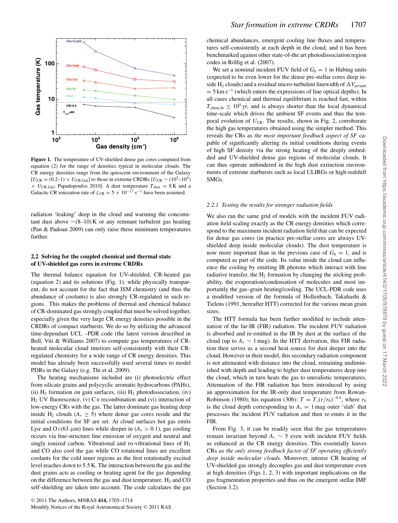

**Figure 1.** The temperature of UV-shielded dense gas cores computed from equation (2) for the range of densities typical in molecular clouds. The CR energy densities range from the quiescent environment of the Galaxy  $[U_{CR} = (0.2-1) \times U_{CR,Gal}]$  to those in extreme CRDRs  $[U_{CR} \sim (10^3-10^4)$  $\times$  *U*<sub>CR,Gal</sub>; Papadopoulos 2010]. A dust temperature  $T_{\text{dust}} = 8$  K and a Galactic CR ionization rate of  $\zeta_{CR} = 5 \times 10^{-17} \text{ s}^{-1}$  have been assumed.

radiation 'leaking' deep in the cloud and warming the concomitant dust above  $\sim$ (8–10) K or any remnant turbulent gas heating (Pan & Padoan 2009) can only raise these minimum temperatures further.

#### **2.2 Solving for the coupled chemical and thermal state of UV-shielded gas cores in extreme CRDRs**

The thermal balance equation for UV-shielded, CR-heated gas (equation 2) and its solutions (Fig. 1), while physically transparent, do not account for the fact that ISM chemistry (and thus the abundance of coolants) is also strongly CR-regulated in such regions . This makes the problems of thermal and chemical balance of CR-dominated gas strongly coupled that must be solved together, especially given the very large CR energy densities possible in the CRDRs of compact starbursts. We do so by utilizing the advanced time-dependant UCL –PDR code (the latest version described in Bell, Viti & Williams 2007) to compute gas temperatures of CRheated molecular cloud interiors self-consistently with their CRregulated chemistry for a wide range of CR energy densities. This model has already been successfully used several times to model PDRs in the Galaxy (e.g. Thi et al. 2009).

The heating mechanisms included are (i) photoelectric effect from silicate grains and polycyclic aromatic hydrocarbons (PAHs), (ii)  $H_2$  formation on gain surfaces, (iii)  $H_2$  photodissociation, (iv)  $H<sub>2</sub>$  UV fluorescence, (v) C  $\scriptstyle\rm II$  recombination and (vi) interaction of low-energy CRs with the gas. The latter dominate gas heating deep inside H<sub>2</sub> clouds ( $A_v \ge 5$ ) where dense gas cores reside and the initial conditions for SF are set. At cloud surfaces hot gas emits Lyα and O<sub>I</sub>(63 μm) lines while deeper in ( $A<sub>v</sub> > 0.1$ ), gas cooling occurs via fine-structure line emission of oxygen and neutral and singly ionized carbon. Vibrational and ro-vibrational lines of  $H_2$ and CO also cool the gas while CO rotational lines are excellent coolants for the cold inner regions as the first rotationally excited level reaches down to 5.5 K. The interaction between the gas and the dust grains acts as cooling or heating agent for the gas depending on the difference between the gas and dust temperature.  $H_2$  and CO self-shielding are taken into account. The code calculates the gas

chemical abundances, emergent cooling line fluxes and temperatures self-consistently at each depth in the cloud, and it has been benchmarked against other state-of-the art photodissociation region codes in Röllig et al. (2007).

We set a nominal incident FUV field of  $G_0 = 1$  in Habing units (expected to be even lower for the dense pre-stellar cores deep inside H<sub>2</sub> clouds) and a residual micro-turbulent linewidth of  $\Delta V_{\text{m-turb}}$  $= 5 \text{ km s}^{-1}$  (which enters the expressions of line optical depths). In all cases chemical and thermal equilibrium is reached fast, within  $T_{\text{chem,th}} \leq 10^4$  yr, and is always shorter than the local dynamical time-scale which drives the ambient SF events and thus the temporal evolution of  $U_{CR}$ . The results, shown in Fig. 2, corroborate the high gas temperatures obtained using the simpler method. This reveals the CRs as *the most important feedback aspect of SF* capable of significantly altering its initial conditions during events of high SF density via the strong heating of the deeply embedded and UV-shielded dense gas regions of molecular clouds. It can thus operate unhindered in the high dust extinction environments of extreme starbursts such as local ULIRGs or high-redshift SMGs.

#### *2.2.1 Testing the results for stronger radiation fields*

We also ran the same grid of models with the incident FUV radiation field scaling exactly as the CR energy densities which correspond to the maximum incident radiation field that can be expected for dense gas cores (in practice pre-stellar cores are always UVshielded deep inside molecular clouds). The dust temperature is now more important than in the previous case of  $G_0 = 1$ , and is computed as part of the code. Its value inside the cloud can influence the cooling by emitting IR photons which interact with line radiative transfer, the  $H_2$  formation by changing the sticking probability, the evaporation/condensation of molecules and most importantly the gas–grain heating/cooling. The UCL-PDR code uses a modified version of the formula of Hollenbach, Takahashi & Tielens (1991, hereafter HTT) corrected for the various mean grain sizes.

The HTT formula has been further modified to include attenuation of the far-IR (FIR) radiation. The incident FUV radiation is absorbed and re-emitted in the IR by dust at the surface of the cloud (up to  $A_v \sim 1$  mag). In the HTT derivation, this FIR radiation then serves as a second heat source for dust deeper into the cloud. However in their model, this secondary radiation component is not attenuated with distance into the cloud, remaining undiminished with depth and leading to higher dust temperatures deep into the cloud, which in turn heats the gas to unrealistic temperatures. Attenuation of the FIR radiation has been introduced by using an approximation for the IR-only dust temperature from Rowan-Robinson (1980); his equation (30b):  $T = T<sub>°</sub>(r/r<sub>0</sub>)<sup>-0.4</sup>$ , where  $r<sub>0</sub>$ <br>is the cloud depth corresponding to  $A = 1$  mag outer 'slab' that is the cloud depth corresponding to  $A<sub>v</sub> = 1$  mag outer 'slab' that processes the incident FUV radiation and then re-emits it in the FIR.

From Fig. 3, it can be readily seen that the gas temperatures remain invariant beyond  $A_v \sim 5$  even with incident FUV fields as enhanced as the CR energy densities. This essentially leaves CRs *as the only strong feedback factor of SF operating efficiently deep inside molecular clouds.* Moreover, intense CR heating of UV-shielded gas strongly decouples gas and dust temperature even at high densities (Figs 1, 2, 3) with important implications on the gas fragmentation properties and thus on the emergent stellar IMF (Section 3.2).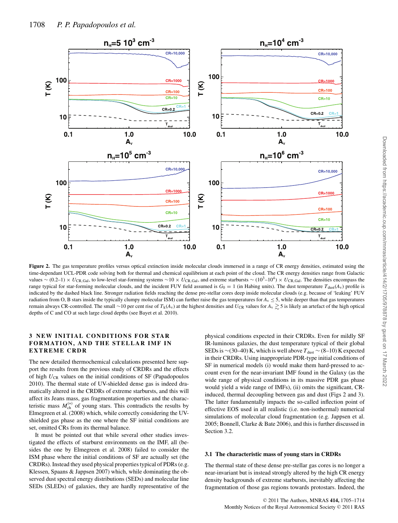

Figure 2. The gas temperature profiles versus optical extinction inside molecular clouds immersed in a range of CR energy densities, estimated using the time-dependant UCL-PDR code solving both for thermal and chemical equilibrium at each point of the cloud. The CR energy densities range from Galactic values ~ (0.2–1) × *U*CR,Gal, to low-level star-forming systems ~10 × *U*CR,Gal, and extreme starbursts ~ (10<sup>3</sup>–10<sup>4</sup>) × *U*CR,Gal. The densities encompass the range typical for star-forming molecular clouds, and the incident FUV field assumed is  $G_0 = 1$  (in Habing units). The dust temperature  $T_{\text{dust}}(A_v)$  profile is indicated by the dashed black line. Stronger radiation fields reaching the dense pre-stellar cores deep inside molecular clouds (e.g. because of 'leaking' FUV radiation from O, B stars inside the typically clumpy molecular ISM) can further raise the gas temperatures for  $A<sub>v</sub> \le 5$ , while deeper than that gas temperatures remain always CR-controlled. The small ∼10 per cent rise of  $T_k(A_v)$  at the highest densities and  $U_{CR}$  values for  $A_v \gtrsim 5$  is likely an artefact of the high optical depths of C and CO at such large cloud depths (see Bayet et al. 2010).

#### **3 NEW INITIAL CONDITIONS FOR STAR FORMATION, AND THE STELLAR IMF IN EXTREME CRDR**

The new detailed thermochemical calculations presented here support the results from the previous study of CRDRs and the effects of high  $U_{CR}$  values on the initial conditions of SF (Papadopoulos 2010). The thermal state of UV-shielded dense gas is indeed dramatically altered in the CRDRs of extreme starbursts, and this will affect its Jeans mass, gas fragmentation properties and the characteristic mass  $M_{\text{ch}}^{(*)}$  of young stars. This contradicts the results by<br>Elmegreen et al. (2008) which while correctly considering the HV-Elmegreen et al. (2008) which, while correctly considering the UVshielded gas phase as the one where the SF initial conditions are set, omitted CRs from its thermal balance.

It must be pointed out that while several other studies investigated the effects of starburst environments on the IMF, all (besides the one by Elmegreen et al. 2008) failed to consider the ISM phase where the initial conditions of SF are actually set (the CRDRs). Instead they used physical properties typical of PDRs (e.g. Klessen, Spaans & Jappsen 2007) which, while dominating the observed dust spectral energy distributions (SEDs) and molecular line SEDs (SLEDs) of galaxies, they are hardly representative of the

physical conditions expected in their CRDRs. Even for mildly SF IR-luminous galaxies, the dust temperature typical of their global SEDs is ~(30–40) K, which is well above  $T_{\text{dust}}$  ~ (8–10) K expected in their CRDRs. Using inappropriate PDR-type initial conditions of SF in numerical models (i) would make them hard-pressed to account even for the near-invariant IMF found in the Galaxy (as the wide range of physical conditions in its massive PDR gas phase would yield a wide range of IMFs), (ii) omits the significant, CRinduced, thermal decoupling between gas and dust (Figs 2 and 3). The latter fundamentally impacts the so-called inflection point of effective EOS used in all realistic (i.e. non-isothermal) numerical simulations of molecular cloud fragmentation (e.g. Jappsen et al. 2005; Bonnell, Clarke & Bate 2006), and this is further discussed in Section 3.2.

#### **3.1 The characteristic mass of young stars in CRDRs**

The thermal state of these dense pre-stellar gas cores is no longer a near-invariant but is instead strongly altered by the high CR energy density backgrounds of extreme starbursts, inevitably affecting the fragmentation of those gas regions towards protostars. Indeed, the

Downloaded from https://academic.oup.com/mnras/article/414/2/1705/978878 by guest on 17 March 2022

Downloaded from https://academic.oup.com/mnras/article/414/2/1705/978878 by guest on 17 March 2022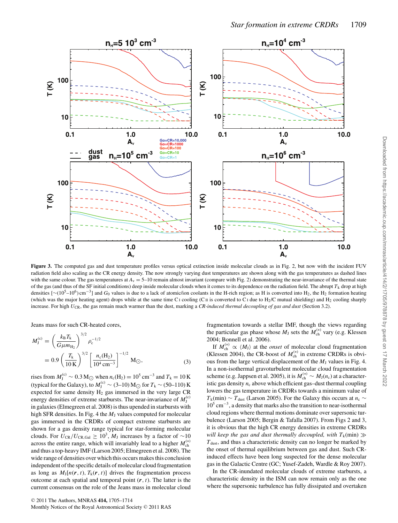

**Figure 3.** The computed gas and dust temperature profiles versus optical extinction inside molecular clouds as in Fig. 2, but now with the incident FUV radiation field also scaling as the CR energy density. The now strongly varying dust temperatures are shown along with the gas temperatures as dashed lines with the same colour. The gas temperatures at  $A<sub>v</sub> = 5-10$  remain almost invariant (compare with Fig. 2) demonstrating the near-invariance of the thermal state of the gas (and thus of the SF initial conditions) deep inside molecular clouds when it comes to its dependence on the radiation field. The abrupt  $T_k$  drop at high densities [∼(10<sup>5</sup>–10<sup>6</sup>) cm<sup>-3</sup>] and *G*<sub>0</sub> values is due to a lack of atomic/ion coolants in the H-rich region; as H is converted into H<sub>2</sub>, the H<sub>2</sub> formation heating (which was the major heating agent) drops while at the same time C<sub>1</sub> cooling (C<sub>II</sub> is converted to C<sub>1</sub> due to H<sub>2</sub>/C mutual shielding) and H<sub>2</sub> cooling sharply increase. For high *U*<sub>CR</sub>, the gas remain much warmer than the dust, marking a *CR-induced thermal decoupling of gas and dust* (Section 3.2).

Jeans mass for such CR-heated cores,

$$
M_{\rm J}^{\rm (c)} = \left(\frac{k_{\rm B}T_{\rm k}}{G\mu m_{\rm H_2}}\right)^{3/2} \rho_{\rm c}^{-1/2}
$$
  
= 0.9  $\left(\frac{T_{\rm k}}{10\,\rm K}\right)^{3/2} \left[\frac{n_{\rm c}(H_2)}{10^4\,\rm cm^{-3}}\right]^{-1/2}\,\rm M_{\odot},$  (3)

rises from  $M_1^{(c)} \sim 0.3 M_{\odot}$  when  $n_c(H_2) = 10^5$  cm<sup>-3</sup> and  $T_k = 10$  K<br>(tuning for the Galery), to  $M_c^{(c)} \approx (3.10) M_{\odot}$  for  $T_c \approx (50, 110) K$ (typical for the Galaxy), to  $M_J^{(c)} \sim (3-10) M_{\bigodot}$  for  $T_k \sim (50-110) K$ <br>expected for same density H, gas immersed in the very large CR expected for same density  $H_2$  gas immersed in the very large CR energy densities of extreme starbursts. The near-invariance of  $M_j^{(c)}$ <br>in galaxies (Elmegreen et al. 2008) is thus upended in starbursts with in galaxies (Elmegreen et al. 2008) is thus upended in starbursts with high SFR densities. In Fig. 4 the  $M<sub>J</sub>$  values computed for molecular gas immersed in the CRDRs of compact extreme starbursts are shown for a gas density range typical for star-forming molecular clouds. For  $U_{CR}/U_{CR,Gal} \ge 10^3$ , *M*<sub>J</sub> increases by a factor of ~10 across the entire range, which will invariably lead to a higher  $M_{ch}^{(*)}$ <br>and thus a top-beavy IME (Larson 2005: Elmegreen et al. 2008). The and thus a top-heavy IMF (Larson 2005; Elmegreen et al. 2008). The wide range of densities over which this occurs makes this conclusion independent of the specific details of molecular cloud fragmentation as long as  $M_1[n(r, t), T_k(r, t)]$  drives the fragmentation process outcome at each spatial and temporal point  $(r, t)$ . The latter is the current consensus on the role of the Jeans mass in molecular cloud

fragmentation towards a stellar IMF, though the views regarding the particular gas phase whose  $M_J$  sets the  $M_{ch}^{(*)}$  vary (e.g. Klessen 2004; Bonnell et al. 2006) 2004; Bonnell et al. 2006).

If  $M_{\text{ch}}^{(*)} \propto \langle M_J \rangle$  at the *onset* of molecular cloud fragmentation<br>lessen 2004), the CR hoost of  $M^{(*)}$  in extreme CRDRs is obvi-(Klessen 2004), the CR-boost of  $M_{ch}^{(*)}$  in extreme CRDRs is obvious from the large vertical displacement of the M, values in Fig. 4. ous from the large vertical displacement of the  $M<sub>J</sub>$  values in Fig. 4. In a non-isothermal gravoturbulent molecular cloud fragmentation scheme (e.g. Jappsen et al. 2005), it is  $M_{ch}^{(*)} \sim M_J(n_c)$  at a character-<br>istic ass density *n*, above which efficient ass, dust thermal coupling istic gas density  $n_c$  above which efficient gas-dust thermal coupling lowers the gas temperature in CRDRs towards a minimum value of  $T_k$ (min) ∼  $T_{dust}$  (Larson 2005). For the Galaxy this occurs at  $n_c$  ∼ 105 cm−3, a density that marks also the transition to near-isothermal cloud regions where thermal motions dominate over supersonic turbulence (Larson 2005; Bergin & Tafalla 2007). From Figs 2 and 3, it is obvious that the high CR energy densities in extreme CRDRs *will keep the gas and dust thermally decoupled, with*  $T_k(\text{min}) \gg$  $T<sub>dust</sub>$ , and thus a characteristic density can no longer be marked by the onset of thermal equilibrium between gas and dust. Such CRinduced effects have been long suspected for the dense molecular gas in the Galactic Centre (GC; Yusef-Zadeh, Wardle & Roy 2007).

In the CR-inundated molecular clouds of extreme starbursts, a characteristic density in the ISM can now remain only as the one where the supersonic turbulence has fully dissipated and overtaken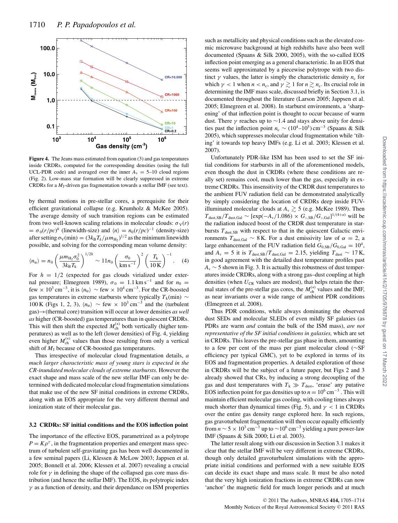

**Figure 4.** The Jeans mass estimated from equation (3) and gas temperatures inside CRDRs, computed for the corresponding densities (using the full UCL-PDR code) and averaged over the inner  $A<sub>v</sub> = 5-10$  cloud regions (Fig. 2). Low-mass star formation will be clearly suppressed in extreme CRDRs for a *M*J-driven gas fragmentation towards a stellar IMF (see text).

by thermal motions in pre-stellar cores, a prerequisite for their efficient gravitational collapse (e.g. Krumholz & McKee 2005). The average density of such transition regions can be estimated from two well-known scaling relations in molecular clouds:  $\sigma_v(r)$  $=\sigma_0(r/pc)$ <br>after setting *h* (linewidth-size) and  $\langle n \rangle = n_0 (r/pc)^{-1}$  (density-size)<br>  $\sigma_v(mn) = (3k_0 T_c / (m v)^{1/2})$  as the minimum linewidth after setting  $\sigma_V(\text{min}) = (3k_B T_k/\mu m_{H_2})^{1/2}$  as the minimum linewidth possible and solving for the corresponding mean volume density: possible, and solving for the corresponding mean volume density:

$$
\langle n_{\rm tr} \rangle = n_0 \left( \frac{\mu m_{\rm H_2} \sigma_0^2}{3 k_{\rm B} T_{\rm k}} \right)^{1/2h} \sim 11 n_0 \left( \frac{\sigma_0}{\rm km\,s^{-1}} \right)^2 \left( \frac{T_{\rm k}}{10\,\rm K} \right)^{-1} . \tag{4}
$$

For  $h = 1/2$  (expected for gas clouds virialized under exter-<br>nal pressure: Elmegreen 1989)  $\sigma_0 = 1.1 \text{ km s}^{-1}$  and for  $n_0 =$ nal pressure; Elmegreen 1989),  $\sigma_0 = 1.1 \text{ km s}^{-1}$  and for  $n_0 =$ few × 10<sup>3</sup> cm<sup>-3</sup>, it is  $\langle n_{\rm tr} \rangle$  ~ few × 10<sup>4</sup> cm<sup>-3</sup>. For the CR-boosted gas temperatures in extreme starbursts where typically  $T_k$ (min) ∼ 100 K (Figs 1, 2, 3),  $\langle n_{\rm tr} \rangle$  ~ few × 10<sup>3</sup> cm<sup>-3</sup> and the (turbulent gas)→(thermal core) transition will occur at lower densities *as well as* higher (CR-boosted) gas temperatures than in quiescent CRDRs. This will then shift the expected  $M_{ch}^{(*)}$  both vertically (higher tem-<br>peratures) as well as to the left (lower densities) of Fig. 4, vielding peratures) as well as to the left (lower densities) of Fig. 4, yielding even higher  $M_{ch}^{(*)}$  values than those resulting from only a vertical<br>shift of M, because of CR-boosted gas temperatures shift of  $M<sub>J</sub>$  because of CR-boosted gas temperatures.

Thus irrespective of molecular cloud fragmentation details, *a much larger characteristic mass of young stars is expected in the CR-inundated molecular clouds of extreme starbursts.* However the exact shape and mass scale of the new stellar IMF can only be determined with dedicated molecular cloud fragmentation simulations that make use of the new SF initial conditions in extreme CRDRs, along with an EOS appropriate for the very different thermal and ionization state of their molecular gas.

#### **3.2 CRDRs: SF initial conditions and the EOS inflection point**

The importance of the effective EOS, parametrized as a polytrope  $P = K\rho^{\gamma}$ , in the fragmentation properties and emergent mass spectrum of turbulent self-gravitating gas has been well documented in a few seminal papers (Li, Klessen & McLow 2003; Jappsen et al. 2005; Bonnell et al. 2006; Klessen et al. 2007) revealing a crucial role for  $\gamma$  in defining the shape of the collapsed gas core mass distribution (and hence the stellar IMF). The EOS, its polytropic index  $\gamma$  as a function of density, and their dependance on ISM properties

such as metallicity and physical conditions such as the elevated cosmic microwave background at high redshifts have also been well documented (Spaans & Silk 2000, 2005), with the so-called EOS inflection point emerging as a general characteristic. In an EOS that seems well approximated by a piecewise polytrope with two distinct  $\gamma$  values, the latter is simply the characteristic density  $n_c$  for which  $\gamma < 1$  when  $n < n_c$ , and  $\gamma \gtrsim 1$  for  $n \gtrsim n_c$ . Its crucial role in determining the IME mass scale, discussed briefly in Section 3.1, is determining the IMF mass scale, discussed briefly in Section 3.1, is documented throughout the literature (Larson 2005; Jappsen et al. 2005; Elmegreen et al. 2008). In starburst environments, a 'sharpening' of that inflection point is thought to occur because of warm dust. There  $\gamma$  reaches up to ~1.4 and stays above unity for densities past the inflection point  $n_c \sim (10^4-10^5) \text{ cm}^{-3}$  (Spaans & Silk 2005), which suppresses molecular cloud fragmentation while 'tilting' it towards top heavy IMFs (e.g. Li et al. 2003; Klessen et al. 2007).

Unfortunately PDR-like ISM has been used to set the SF initial conditions for starbursts in all of the aforementioned models, even though the dust in CRDRs (where these conditions are really set) remains cool, much lower than the gas, especially in extreme CRDRs. This insensitivity of the CRDR dust temperatures to the ambient FUV radiation field can be demonstrated analytically by simply considering the location of CRDRs deep inside FUVilluminated molecular clouds at  $A_v \gtrsim 5$  (e.g. McKee 1989). Then  $T_{\text{dust,SB}}/T_{\text{dust,Gal}} \sim \frac{\text{exp}(-A_v/1.086) \times G_{\text{o,SB}}/G_{\text{o,Gal}}^{11/(4+a)} \text{ will be}$ the radiation induced boost of the CRDR dust temperature in starbursts  $T_{\text{dust,SB}}$  with respect to that in the quiescent Galactic environments  $T_{\text{dust,Gal}} \sim 8 \text{ K}$ . For a dust emissivity law of  $\alpha = 2$ , a large enhancement of the FUV radiation field  $G_{0,SB}/G_{0,Gal} = 10^4$ , and  $A_v = 5$  it is  $T_{\text{dust,SB}}/T_{\text{dust,Gal}} = 2.15$ , yielding  $T_{\text{dust}} \sim 17$  K, in good agreement with the detailed dust temperature profiles past *A*<sup>v</sup> ∼ 5 shown in Fig. 3. It is actually this robustness of dust temperatures inside CRDRs, along with a strong gas–dust coupling at high densities (when  $U_{CR}$  values are modest), that helps retain the thermal states of the pre-stellar gas cores, the  $M_{ch}^{(*)}$  values and the IMF,<br>as near invariants over a wide range of ambient PDR conditions as near invariants over a wide range of ambient PDR conditions (Elmegreen et al. 2008).

Thus PDR conditions, while always dominating the observed dust SEDs and molecular SLEDs of even mildly SF galaxies (as PDRs are warm *and* contain the bulk of the ISM mass), *are not representative of the SF initial conditions in galaxies,* which are set in CRDRs. This leaves the pre-stellar gas phase in them, amounting to a few per cent of the mass per giant molecular cloud (∼SF efficiency per typical GMC), yet to be explored in terms of its EOS and fragmentation properties. A detailed exploration of those in CRDRs will be the subject of a future paper, but Figs 2 and 3 already showed that CRs, by inducing a strong decoupling of the gas and dust temperatures with  $T_k \gg T_{\text{dust}}$ , 'erase' any putative EOS inflection point for gas densities up to  $n = 10^6$  cm<sup>-3</sup>. This will maintain efficient molecular gas cooling, with cooling times always much shorter than dynamical times (Fig. 5), and  $\gamma$  < 1 in CRDRs over the entire gas density range explored here. In such regions, gas gravoturbulent fragmentation will then occur equally efficiently from  $n \sim 5 \times 10^3$  cm<sup>-3</sup> up to  $\sim 10^6$  cm<sup>-3</sup> yielding a pure power-law IMF (Spaans & Silk 2000; Li et al. 2003).

The latter result along with our discussion in Section 3.1 makes it clear that the stellar IMF will be very different in extreme CRDRs, though only detailed gravoturbulent simulations with the appropriate initial conditions and performed with a new suitable EOS can decide its exact shape and mass scale. It must be also noted that the very high ionization fractions in extreme CRDRs can now 'anchor' the magnetic field for much longer periods and at much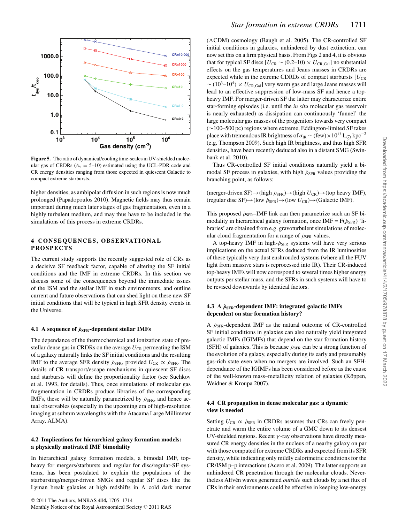

**Figure 5.** The ratio of dynamical/cooling time-scales in UV-shielded molecular gas of CRDRs  $(A<sub>v</sub> = 5-10)$  estimated using the UCL-PDR code and CR energy densities ranging from those expected in quiescent Galactic to compact extreme starbursts.

higher densities, as ambipolar diffusion in such regions is now much prolonged (Papadopoulos 2010). Magnetic fields may thus remain important during much later stages of gas fragmentation, even in a highly turbulent medium, and may thus have to be included in the simulations of this process in extreme CRDRs.

#### **4 CONSEQUENCES, OBSERVATIONAL PROSPECTS**

The current study supports the recently suggested role of CRs as a decisive SF feedback factor, capable of altering the SF initial conditions and the IMF in extreme CRDRs. In this section we discuss some of the consequences beyond the immediate issues of the ISM and the stellar IMF in such environments, and outline current and future observations that can shed light on these new SF initial conditions that will be typical in high SFR density events in the Universe.

#### **4.1** A sequence of  $ρ_{SFR}$ -dependent stellar IMFs

The dependance of the thermochemical and ionization state of prestellar dense gas in CRDRs on the average  $U_{CR}$  permeating the ISM of a galaxy naturally links the SF initial conditions and the resulting IMF to the average SFR density  $\rho_{\rm SFR}$ , provided  $U_{\rm CR} \propto \rho_{\rm SFR}$ . The details of CR transport/escape mechanisms in quiescent SF discs and starbursts will define the proportionality factor (see Suchkov et al. 1993, for details). Thus, once simulations of molecular gas fragmentation in CRDRs produce libraries of the corresponding IMFs, these will be naturally parametrized by  $\rho_{\rm SFR}$ , and hence actual observables (especially in the upcoming era of high-resolution imaging at submm wavelengths with the Atacama Large Millimeter Array, ALMA).

#### **4.2 Implications for hierarchical galaxy formation models: a physically motivated IMF bimodality**

In hierarchical galaxy formation models, a bimodal IMF, topheavy for mergers/starbursts and regular for disc/regular-SF systems, has been postulated to explain the populations of the starbursting/merger-driven SMGs and regular SF discs like the Lyman break galaxies at high redshifts in  $\Lambda$  cold dark matter

 $(\Lambda CDM)$  cosmology (Baugh et al. 2005). The CR-controlled SF initial conditions in galaxies, unhindered by dust extinction, can now set this on a firm physical basis. From Figs 2 and 4, it is obvious that for typical SF discs  $[U_{CR} \sim (0.2-10) \times U_{CR, Gal}]$  no substantial effects on the gas temperatures and Jeans masses in CRDRs are expected while in the extreme CDRDs of compact starbursts  $[U_{CR}]$  $∼ (10<sup>3</sup>–10<sup>4</sup>) × U<sub>CR,Gal</sub>$ ] very warm gas and large Jeans masses will lead to an effective suppression of low-mass SF and hence a topheavy IMF. For merger-driven SF the latter may characterize entire star-forming episodes (i.e. until the *in situ* molecular gas reservoir is nearly exhausted) as dissipation can continuously 'funnel' the large molecular gas masses of the progenitors towards very compact (∼100–500 pc) regions where extreme, Eddington-limited SF takes place with tremendous IR brightness of  $\sigma_{IR}$  ∼ (few) × 10<sup>13</sup> L<sub>∩</sub> kpc<sup>-2</sup> (e.g. Thompson 2009). Such high IR brightness, and thus high SFR densities, have been recently deduced also in a distant SMG (Swinbank et al. 2010).

Thus CR-controlled SF initial conditions naturally yield a bimodal SF process in galaxies, with high  $\rho_{\rm SFR}$  values providing the branching point, as follows:

(merger-driven SF) $\rightarrow$ (high  $\rho_{\rm SFR}$ ) $\rightarrow$ (high  $U_{\rm CR}$ ) $\rightarrow$ (top heavy IMF), (regular disc SF)→(low ˙ρSFR)→(low *<sup>U</sup>*CR)→(Galactic IMF).

This proposed  $\rho_{\rm SFR}$ –IMF link can then parametrize such an SF bimodality in hierarchical galaxy formation, once IMF =  $F(\dot{\rho}_{SFR})$  'libraries' are obtained from e.g. gravoturbulent simulations of molecular cloud fragmentation for a range of  $\rho_{\rm SFR}$  values.

A top-heavy IMF in high- $\dot{\rho}_{\rm SFR}$  systems will have very serious implications on the actual SFRs deduced from the IR luminosities of these typically very dust enshrouded systems (where all the FUV light from massive stars is reprocessed into IR). Their CR-induced top-heavy IMFs will now correspond to several times higher energy outputs per stellar mass, and the SFRs in such systems will have to be revised downwards by identical factors.

#### **4.3 A** *ρ***˙SFR-dependent IMF: integrated galactic IMFs dependent on star formation history?**

A  $\rho_{\rm SFR}$ -dependent IMF as the natural outcome of CR-controlled SF initial conditions in galaxies can also naturally yield integrated galactic IMFs (IGIMFs) that depend on the star formation history (SFH) of galaxies. This is because  $\rho_{\rm SFR}$  can be a strong function of the evolution of a galaxy, especially during its early and presumably gas-rich state even when no mergers are involved. Such an SFHdependance of the IGIMFs has been considered before as the cause of the well-known mass–metallicity relation of galaxies (Köppen, Weidner & Kroupa 2007).

#### **4.4 CR propagation in dense molecular gas: a dynamic view is needed**

Setting  $U_{CR} \propto \dot{\rho}_{SFR}$  in CRDRs assumes that CRs can freely penetrate and warm the entire volume of a GMC down to its densest UV-shielded regions. Recent  $\gamma$ -ray observations have directly measured CR energy densities in the nucleus of a nearby galaxy on par with those computed for extreme CRDRs and expected from its SFR density, while indicating only mildly calorimetric conditions for the CR/ISM p–p interactions (Acero et al. 2009). The latter supports an unhindered CR penetration through the molecular clouds. Nevertheless Alfvén waves generated outside such clouds by a net flux of CRs in their environments could be effective in keeping low-energy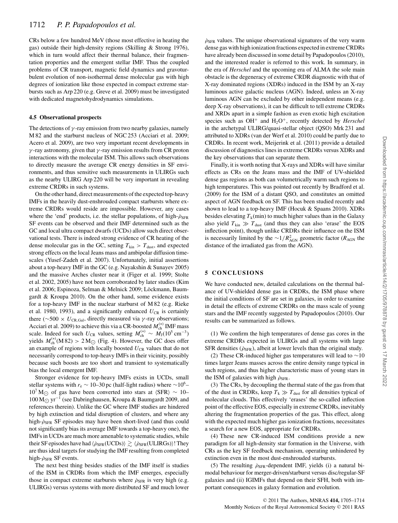CRs below a few hundred MeV (those most effective in heating the gas) outside their high-density regions (Skilling & Strong 1976), which in turn would affect their thermal balance, their fragmentation properties and the emergent stellar IMF. Thus the coupled problems of CR transport, magnetic field dynamics and gravoturbulent evolution of non-isothermal dense molecular gas with high degrees of ionization like those expected in compact extreme starbursts such as Arp 220 (e.g. Greve et al. 2009) must be investigated with dedicated magnetohydrodynamics simulations.

#### **4.5 Observational prospects**

The detections of  $\gamma$ -ray emission from two nearby galaxies, namely M 82 and the starburst nucleus of NGC 253 (Acciari et al. 2009; Acero et al. 2009), are two very important recent developments in  $γ$ -ray astronomy, given that  $γ$ -ray emission results from CR proton interactions with the molecular ISM. This allows such observations to directly measure the average CR energy densities in SF environments, and thus sensitive such measurements in ULIRGs such as the nearby ULIRG Arp 220 will be very important in revealing extreme CRDRs in such systems.

On the other hand, direct measurements of the expected top-heavy IMFs in the heavily dust-enshrouded compact starbursts where extreme CRDRs would reside are impossible. However, any cases where the 'end' products, i.e. the stellar populations, of high- $\rho_{\rm SFR}$ SF events can be observed and their IMF determined such as the GC and local ultra compact dwarfs (UCDs) allow such direct observational tests. There is indeed strong evidence of CR heating of the dense molecular gas in the GC, setting  $T_{kin} > T_{dust}$ , and expected strong effects on the local Jeans mass and ambipolar diffusion timescales (Yusef-Zadeh et al. 2007). Unfortunately, initial assertions about a top-heavy IMF in the GC (e.g. Nayakshin & Sunayev 2005) and the massive Arches cluster near it (Figer et al. 1999; Stolte et al. 2002, 2005) have not been corroborated by later studies (Kim et al. 2006; Espinoza, Selman & Melnick 2009; Löckmann, Baumgardt & Kroupa 2010). On the other hand, some evidence exists for a top-heavy IMF in the nuclear starburst of M 82 (e.g. Rieke et al. 1980, 1993), and a significantly enhanced  $U_{CR}$  is certainly there ( $\sim$ 500 ×  $U_{CR, Gal}$ , directly measured via  $\gamma$ -ray observations; Acciari et al. 2009) to achieve this via a CR-boosted  $M_{ch}^{(*)}$  IMF mass<br>scale. Indeed for such  $I_{cm}$  values, setting  $M^{(*)} \sim M_{\odot} (10^5 \text{ cm}^{-3})$ scale. Indeed for such *U*<sub>CR</sub> values, setting  $M_{ch}^{(*)} \sim M_J(10^5 \text{ cm}^{-3})$ <br>vields  $M^{(*)}(\text{M32}) > 2 M_{\odot}$  (Fig. 4) However the GC does offer yields  $M_{ch}^{(*)}(M 82) > 2 M_{\odot}$  (Fig. 4). However, the GC does offer<br>an example of regions with locally boosted  $U_{cm}$  values that do not an example of regions with locally boosted  $U_{CR}$  values that do not necessarily correspond to top-heavy IMFs in their vicinity, possibly because such boosts are too short and transient to systematically bias the local emergent IMF.

Stronger evidence for top-heavy IMFs exists in UCDs, small stellar systems with  $r_e \sim 10-30$  pc (half-light radius) where  $\sim 10^6$ - $10^7$  M<sub> $\odot$ </sub> of gas have been converted into stars at  $\langle SFR \rangle \sim 10-$ 100 M yr<sup>−1</sup> (see Dabringhausen, Kroupa & Baumgardt 2009, and references therein). Unlike the GC where IMF studies are hindered by high extinction and tidal disruption of clusters, and where any high- $\rho_{\rm SFR}$  SF episodes may have been short-lived (and thus could not significantly bias its average IMF towards a top-heavy one), the IMFs in UCDs are much more amenable to systematic studies, while their SF episodes have had  $\langle \hat{\rho}_{\rm SFR}({\rm UCDs}) \rangle \gtrsim \langle \hat{\rho}_{\rm SFR}({\rm ULIRGs}) \rangle$ ! They<br>are thus ideal targets for studying the IMF resulting from completed are thus ideal targets for studying the IMF resulting from completed high- $\rho_{\rm SFR}$  SF events.

The next best thing besides studies of the IMF itself is studies of the ISM in CRDRs from which the IMF emerges, especially those in compact extreme starbursts where  $\rho_{\rm SFR}$  is very high (e.g. ULIRGs) versus systems with more distributed SF and much lower

 $\rho_{\rm SFR}$  values. The unique observational signatures of the very warm dense gas with high ionization fractions expected in extreme CRDRs have already been discussed in some detail by Papadopoulos (2010), and the interested reader is referred to this work. In summary, in the era of *Herschel* and the upcoming era of ALMA the sole main obstacle is the degeneracy of extreme CRDR diagnostic with that of X-ray dominated regions (XDRs) induced in the ISM by an X-ray luminous active galactic nucleus (AGN). Indeed, unless an X-ray luminous AGN can be excluded by other independent means (e.g. deep X-ray observations), it can be difficult to tell extreme CRDRs and XRDs apart in a simple fashion as even exotic high excitation species such as OH<sup>+</sup> and H<sub>2</sub>O<sup>+</sup>, recently detected by *Herschel* in the archetypal ULIRG/quasi-stellar object (QSO) Mrk 231 and attributed to XDRs (van der Werf et al. 2010) could be partly due to CRDRs. In recent work, Meijerink et al. (2011) provide a detailed discussion of diagnostics lines in extreme CRDRs versus XDRs and the key observations that can separate them.

Finally, it is worth noting that X-rays and XDRs will have similar effects as CRs on the Jeans mass and the IMF of UV-shielded dense gas regions as both can volumetrically warm such regions to high temperatures. This was pointed out recently by Bradford et al. (2009) for the ISM of a distant QSO, and constitutes an omitted aspect of AGN feedback on SF. This has been studied recently and shown to lead to a top-heavy IMF (Hocuk & Spaans 2010). XDRs besides elevating  $T_k$ (min) to much higher values than in the Galaxy also yield  $T_{kin} \gg T_{dust}$  (and thus they can also 'erase' the EOS inflection point), though unlike CRDRs their influence on the ISM is necessarily limited by the ~1/ $R_{AGN}^2$  geometric factor ( $R_{AGN}$  the distance of the irradiated gas from the AGN) distance of the irradiated gas from the AGN).

#### **5 CONCLUSIONS**

We have conducted new, detailed calculations on the thermal balance of UV-shielded dense gas in CRDRs, the ISM phase where the initial conditions of SF are set in galaxies, in order to examine in detail the effects of extreme CRDRs on the mass scale of young stars and the IMF recently suggested by Papadopoulos (2010). Our results can be summarized as follows.

(1) We confirm the high temperatures of dense gas cores in the extreme CRDRs expected in ULIRGs and all systems with large SFR densities ( $\rho_{\rm SFR}$ ), albeit at lower levels than the original study.

(2) These CR-induced higher gas temperatures will lead to  $~10$ times larger Jeans masses across the entire density range typical in such regions, and thus higher characteristic mass of young stars in the ISM of galaxies with high  $\rho_{\rm SFR}$ .

(3) The CRs, by decoupling the thermal state of the gas from that of the dust in CRDRs, keep  $T_k \gg T_{\text{dust}}$  for all densities typical of molecular clouds. This effectively 'erases' the so-called inflection point of the effective EOS, especially in extreme CRDRs, inevitably altering the fragmentation properties of the gas. This effect, along with the expected much higher gas ionization fractions, necessitates a search for a new EOS, appropriate for CRDRs.

(4) These new CR-induced ISM conditions provide a new paradigm for all high-density star formation in the Universe, with CRs as the key SF feedback mechanism, operating unhindered by extinction even in the most dust-enshrouded starbursts.

(5) The resulting  $\dot{\rho}_{\rm SFR}$ -dependent IMF, yields (i) a natural bimodal behaviour for merger-driven/starburst versus disc/regular-SF galaxies and (ii) IGIMFs that depend on their SFH, both with important consequences in galaxy formation and evolution.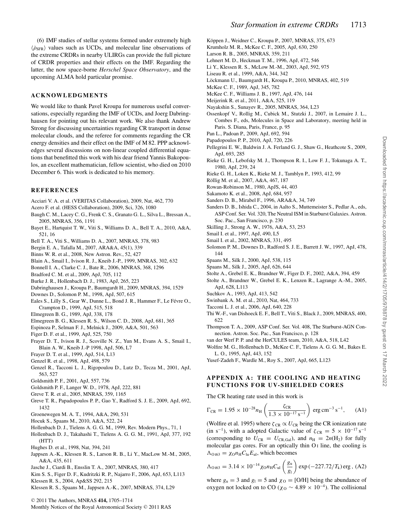(6) IMF studies of stellar systems formed under extremely high  $\langle \dot{\rho}_{\rm SFR} \rangle$  values such as UCDs, and molecular line observations of the extreme CRDRs in nearby ULIRGs can provide the full picture of CRDR properties and their effects on the IMF. Regarding the latter, the now space-borne *Herschel Space Observatory*, and the upcoming ALMA hold particular promise.

#### **ACKNOWLEDGMENTS**

We would like to thank Pavel Kroupa for numerous useful conversations, especially regarding the IMF of UCDs, and Joerg Dabringhausen for pointing out his relevant work. We also thank Andrew Strong for discussing uncertainties regarding CR transport in dense molecular clouds, and the referee for comments regarding the CR energy densities and their effect on the IMF of M 82. PPP acknowledges several discussions on non-linear coupled differential equations that benefitted this work with his dear friend Yannis Bakopoulos, an excellent mathematician, fellow scientist, who died on 2010 December 6. This work is dedicated to his memory.

#### **REFERENCES**

- Acciari V. A. et al. (VERITAS Collaboration), 2009, Nat, 462, 770
- Acero F. et al. (HESS Collaboration), 2009, Sci, 326, 1080
- Baugh C. M., Lacey C. G., Frenk C. S., Granato G. L., Silva L., Bressan A., 2005, MNRAS, 356, 1191
- Bayet E., Hartquist T. W., Viti S., Williams D. A., Bell T. A., 2010, A&A, 521, 16
- Bell T. A., Viti S., Williams D. A., 2007, MNRAS, 378, 983
- Bergin E. A., Tafalla M., 2007, ARA&A, 45(1), 339
- Binns W. R. et al., 2008, New Astron. Rev., 52, 427
- Blain A., Smail I., Ivison R. J., Kneib J.-P., 1999, MNRAS, 302, 632
- Bonnell I. A., Clarke C. J., Bate R., 2006, MNRAS, 368, 1296
- Bradford C. M. et al., 2009, ApJ, 705, 112
- Burke J. R., Hollenbach D. J., 1983, ApJ, 265, 223
- Dabringhausen J., Kroupa P., Baumgardt H., 2009, MNRAS, 394, 1529
- Downes D., Solomon P. M., 1998, ApJ, 507, 615
- Eales S., Lilly S., Gear W., Dunne L., Bond J. R., Hammer F., Le Févre O., Crampton D., 1999, ApJ, 515, 518
- Elmegreen B. G., 1989, ApJ, 338, 178
- Elmegreen B. G., Klessen R. S., Wilson C. D., 2008, ApJ, 681, 365
- Espinoza P., Selman F. J., Melnick J., 2009, A&A, 501, 563
- Figer D. F. et al., 1999, ApJ, 525, 750
- Frayer D. T., Ivison R. J., Scoville N. Z., Yun M., Evans A. S., Smail I., Blain A. W., Kneib J.-P 1998, ApJ, 506, L7
- Frayer D. T. et al., 1999, ApJ, 514, L13
- Genzel R. et al., 1998, ApJ, 498, 579
- Genzel R., Tacconi L. J., Rigopoulou D., Lutz D., Tecza M., 2001, ApJ, 563, 527
- Goldsmith P. F., 2001, ApJ, 557, 736
- Goldsmith P. F., Langer W. D., 1978, ApJ, 222, 881
- Greve T. R. et al., 2005, MNRAS, 359, 1165
- Greve T. R., Papadopoulos P. P., Gao Y., Radford S. J. E., 2009, ApJ, 692, 1432
- Groenewegen M. A. T., 1994, A&A, 290, 531
- Hocuk S., Spaans M., 2010, A&A, 522, 24
- Hollenbach D. J., Tielens A. G. G. M., 1999, Rev. Modern Phys., 71, 1
- Hollenbach D. J., Takahashi T., Tielens A. G. G. M., 1991, ApJ, 377, 192 (HTT)
- Hughes D. et al., 1998, Nat, 394, 241
- Jappsen A.-K., Klessen R. S., Larson R. B., Li Y., MacLow M.-M., 2005, A&A, 435, 611
- Jasche J., Ciardi B., Ensslin T. A., 2007, MNRAS, 380, 417
- Kim S. S., Figer D. F., Kudritzki R. P., Najarro F., 2006, ApJ, 653, L113 Klessen R. S., 2004, Ap&SS 292, 215
- Klessen R. S., Spaans M., Jappsen A.-K., 2007, MNRAS, 374, L29
- <sup>C</sup> 2011 The Authors, MNRAS **414,** 1705–1714
- Monthly Notices of the Royal Astronomical Society © 2011 RAS
- Köppen J., Weidner C., Kroupa P., 2007, MNRAS, 375, 673
- Krumholz M. R., McKee C. F., 2005, ApJ, 630, 250
- Larson R. B., 2005, MNRAS, 359, 211
- Lehnert M. D., Heckman T. M., 1996, ApJ, 472, 546
- Li Y., Klessen R. S., McLow M.-M., 2003, ApJ, 592, 975
- Liseau R. et al., 1999, A&A, 344, 342
- Löckmann U., Baumgardt H., Kroupa P., 2010, MNRAS, 402, 519
- McKee C. F., 1989, ApJ, 345, 782
- McKee C. F., Williams J. B., 1997, ApJ, 476, 144
- Meijerink R. et al., 2011, A&A, 525, 119
- Nayakshin S., Sunayev R., 2005, MNRAS, 364, L23
- Ossenkopf V., Rollig M., Cubick M., Stutzki J., 2007, in Lemaire J. L., Combes F., eds, Molecules in Space and Laboratory, meeting held in Paris. S. Diana, Paris, France, p. 95
- Pan L., Padoan P., 2009, ApJ, 692, 594
- Papadopoulos P. P., 2010, ApJ, 720, 226
- Pellegrini E. W., Baldwin J. A. Ferland G. J., Shaw G., Heathcote S., 2009, ApJ, 693, 285
- Rieke G. H., Lebofsky M. J., Thompson R. I., Low F. J., Tokunaga A. T., 1980, ApJ, 239, 24
- Rieke G. H., Loken K., Rieke M. J., Tamblyn P., 1993, 412, 99
- Röllig M. et al., 2007, A&A, 467, 187
- Rowan-Robinson M., 1980, ApJS, 44, 403
- Sakamoto K. et al., 2008, ApJ, 684, 957
- Sanders D. B., Mirabel F., 1996, ARA&A, 34, 749
- Sanders D. B., Ishida C., 2004, in Aalto S., Muttemeister S., Pedlar A., eds, ASP Conf. Ser. Vol. 320, The Neutral ISM in Starburst Galaxies. Astron. Soc. Pac., San Francisco, p. 230
- Skilling J., Strong A. W., 1976, A&A, 53, 253
- Smail I. et al., 1997, ApJ, 490, L5
- Smail I. et al., 2002, MNRAS, 331, 495
- Solomon P. M., Downes D., Radford S. J. E., Barrett J. W., 1997, ApJ, 478, 144
- Spaans M., Silk J., 2000, ApJ, 538, 115
- Spaans M., Silk J., 2005, ApJ, 626, 644
- Stolte A., Grebel E. K., Brandner W., Figer D. F., 2002, A&A, 394, 459
- Stolte A., Brandner W., Grebel E. K., Lenzen R., Lagrange A.-M., 2005, ApJ, 628, L113
- Suchkov A., 1993, ApJ, 413, 542
- Swinbank A. M. et al., 2010, Nat, 464, 733
- Tacconi L. J. et al., 2006, ApJ, 640, 228
- Thi W.-F., van Dishoeck E. F., Bell T., Viti S., Black J., 2009, MNRAS, 400, 622
- Thompson T. A., 2009, ASP Conf. Ser. Vol. 408, The Starburst-AGN Connection. Astron. Soc. Pac., San Francisco, p. 128
- van der Werf P. P. and the HerCULES team, 2010, A&A, 518, L42
- Wolfire M. G., Hollenbach D., McKee C. F., Tielens A. G. G. M., Bakes E. L. O., 1995, ApJ, 443, 152
- Yusef-Zadeh F., Wardle M., Roy S., 2007, ApJ, 665, L123

#### **APPENDIX A: THE COOLING AND HEATING FUNCTIONS FOR UV-SHIELDED CORES**

The CR heating rate used in this work is

$$
\Gamma_{\rm CR} = 1.95 \times 10^{-28} n_{\rm H} \left( \frac{\zeta_{\rm CR}}{1.3 \times 10^{-17} \, {\rm s}^{-1}} \right) \, {\rm erg} \, {\rm cm}^{-3} \, {\rm s}^{-1}, \qquad (A1)
$$

(Wolfire et al. 1995) where  $\zeta_{CR} \propto U_{CR}$  being the CR ionization rate<br>(in s<sup>-1</sup>), with a adopted Galactic value of  $\zeta_{CR} = 5 \times 10^{-17}$  s<sup>-1</sup> (in s<sup>-1</sup>), with a adopted Galactic value of  $\zeta_{CR} = 5 \times 10^{-17}$  s<sup>-1</sup> (corresponding to  $U_{CR} = U_{CR,Gal}$ ), and  $n_H = 2n(H_2)$  for fully molecular gas cores. For an optically thin O<sub>I</sub> line, the cooling is  $\Lambda_{O_{163}} = \chi_{O} n_{\rm H} C_{\rm lu} E_{\rm ul}$ , which becomes

$$
\Lambda_{0163} = 3.14 \times 10^{-14} \chi_0 n_{\rm H} C_{\rm ul} \left(\frac{g_{\rm u}}{g_{\rm l}}\right) \exp\left(-227.72/T_{\rm k}\right) \exp\left(A2\right)
$$

where  $g_u = 3$  and  $g_l = 5$  and  $\chi_{\text{O}} = [O/H]$  being the abundance of oxygen not locked on to CO ( $\chi_{\text{O}} \sim 4.89 \times 10^{-4}$ ). The collisional oxygen not locked on to CO ( $\chi$ <sup>0</sup> ∼ 4.89 × 10<sup>-4</sup>). The collisional